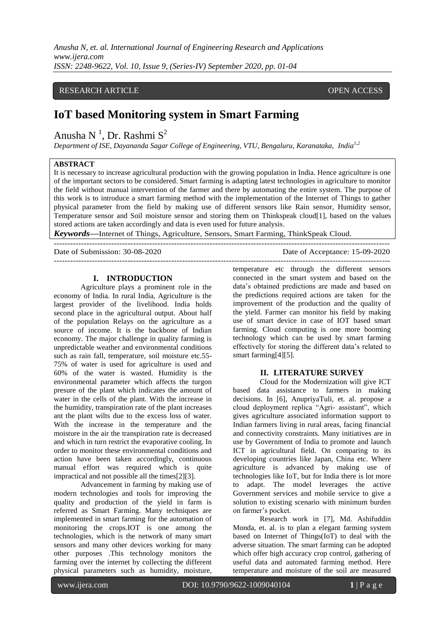*Anusha N, et. al. International Journal of Engineering Research and Applications www.ijera.com ISSN: 2248-9622, Vol. 10, Issue 9, (Series-IV) September 2020, pp. 01-04*

# RESEARCH ARTICLE OPEN ACCESS

# **IoT based Monitoring system in Smart Farming**

Anusha N<sup>1</sup>, Dr. Rashmi  $S^2$ 

*Department of ISE, Dayananda Sagar College of Engineering, VTU, Bengaluru, Karanataka, India1,2*

# **ABSTRACT**

It is necessary to increase agricultural production with the growing population in India. Hence agriculture is one of the important sectors to be considered. Smart farming is adapting latest technologies in agriculture to monitor the field without manual intervention of the farmer and there by automating the entire system. The purpose of this work is to introduce a smart farming method with the implementation of the Internet of Things to gather physical parameter from the field by making use of different sensors like Rain sensor, Humidity sensor, Temperature sensor and Soil moisture sensor and storing them on Thinkspeak cloud[1], based on the values stored actions are taken accordingly and data is even used for future analysis.

---------------------------------------------------------------------------------------------------------------------------

*Keywords***—**Internet of Things, Agriculture, Sensors, Smart Farming, ThinkSpeak Cloud. ---------------------------------------------------------------------------------------------------------------------------

Date of Submission: 30-08-2020 Date of Acceptance: 15-09-2020

#### **I. INTRODUCTION**

Agriculture plays a prominent role in the economy of India. In rural India, Agriculture is the largest provider of the livelihood. India holds second place in the agricultural output. About half of the population Relays on the agriculture as a source of income. It is the backbone of Indian economy. The major challenge in quality farming is unpredictable weather and environmental conditions such as rain fall, temperature, soil moisture etc.55- 75% of water is used for agriculture is used and 60% of the water is wasted. Humidity is the environmental parameter which affects the turgon presure of the plant which indicates the amount of water in the cells of the plant. With the increase in the humidity, transpiration rate of the plant increases ant the plant wilts due to the excess loss of water. With the increase in the temperature and the moisture in the air the transpiration rate is decreased and which in turn restrict the evaporative cooling. In order to monitor these environmental conditions and action have been taken accordingly, continuous manual effort was required which is quite impractical and not possible all the times[2][3].

Advancement in farming by making use of modern technologies and tools for improving the quality and production of the yield in farm is referred as Smart Farming. Many techniques are implemented in smart farming for the automation of monitoring the crops.IOT is one among the technologies, which is the network of many smart sensors and many other devices working for many other purposes .This technology monitors the farming over the internet by collecting the different physical parameters such as humidity, moisture,

temperature etc through the different sensors connected in the smart system and based on the data's obtained predictions are made and based on the predictions required actions are taken for the improvement of the production and the quality of the yield. Farmer can monitor his field by making use of smart device in case of IOT based smart farming. Cloud computing is one more booming technology which can be used by smart farming effectively for storing the different data's related to smart farming[4][5].

## **II. LITERATURE SURVEY**

Cloud for the Modernization will give ICT based data assistance to farmers in making decisions. In [6], [AnupriyaTuli,](https://ieeexplore.ieee.org/author/37085397250) et. al. propose a cloud deployment replica "Agri- assistant", which gives agriculture associated information support to Indian farmers living in rural areas, facing financial and connectivity constraints. Many initiatives are in use by Government of India to promote and launch ICT in agricultural field. On comparing to its developing countries like Japan, China etc. Where agriculture is advanced by making use of technologies like IoT, but for India there is lot more to adapt. The model leverages the active Government services and mobile service to give a solution to existing scenario with minimum burden on farmer's pocket.

Research work in [7], Md. Ashifuddin Monda, et. al. is to plan a elegant farming system based on Internet of Things(IoT) to deal with the adverse situation. The smart farming can be adopted which offer high accuracy crop control, gathering of useful data and automated farming method. Here temperature and moisture of the soil are measured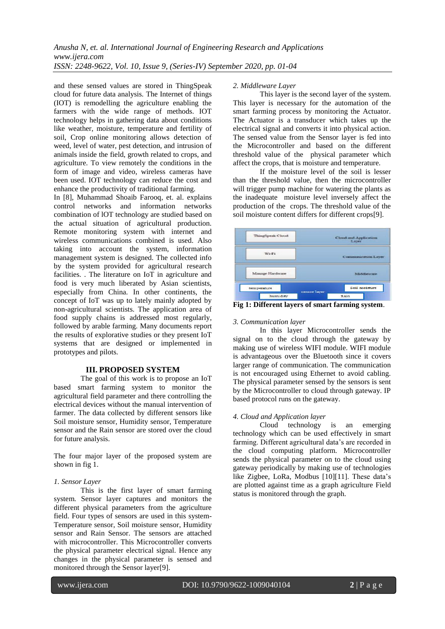and these sensed values are stored in ThingSpeak cloud for future data analysis. The Internet of things (IOT) is remodelling the agriculture enabling the farmers with the wide range of methods. IOT technology helps in gathering data about conditions like weather, moisture, temperature and fertility of soil, Crop online monitoring allows detection of weed, level of water, pest detection, and intrusion of animals inside the field, growth related to crops, and agriculture. To view remotely the conditions in the form of image and video, wireless cameras have been used. IOT technology can reduce the cost and enhance the productivity of traditional farming.

In [8], [Muhammad Shoaib Farooq,](https://ieeexplore.ieee.org/author/37085997492) et. al. explains control networks and information networks combination of lOT technology are studied based on the actual situation of agricultural production. Remote monitoring system with internet and wireless communications combined is used. Also taking into account the system, information management system is designed. The collected info by the system provided for agricultural research facilities. . The literature on IoT in agriculture and food is very much liberated by Asian scientists, especially from China. In other continents, the concept of IoT was up to lately mainly adopted by non-agricultural scientists. The application area of food supply chains is addressed most regularly, followed by arable farming. Many documents report the results of explorative studies or they present IoT systems that are designed or implemented in prototypes and pilots.

#### **III. PROPOSED SYSTEM**

The goal of this work is to propose an IoT based smart farming system to monitor the agricultural field parameter and there controlling the electrical devices without the manual intervention of farmer. The data collected by different sensors like Soil moisture sensor, Humidity sensor, Temperature sensor and the Rain sensor are stored over the cloud for future analysis.

The four major layer of the proposed system are shown in fig 1.

#### *1. Sensor Layer*

This is the first layer of smart farming system. Sensor layer captures and monitors the different physical parameters from the agriculture field. Four types of sensors are used in this system-Temperature sensor, Soil moisture sensor, Humidity sensor and Rain Sensor. The sensors are attached with microcontroller. This Microcontroller converts the physical parameter electrical signal. Hence any changes in the physical parameter is sensed and monitored through the Sensor layer[9].

#### *2. Middleware Layer*

This layer is the second layer of the system. This layer is necessary for the automation of the smart farming process by monitoring the Actuator. The Actuator is a transducer which takes up the electrical signal and converts it into physical action. The sensed value from the Sensor layer is fed into the Microcontroller and based on the different threshold value of the physical parameter which affect the crops, that is moisture and temperature.

If the moisture level of the soil is lesser than the threshold value, then the microcontroller will trigger pump machine for watering the plants as the inadequate moisture level inversely affect the production of the crops. The threshold value of the soil moisture content differs for different crops[9].



**Fig 1: Different layers of smart farming system**.

#### *3. Communication layer*

In this layer Microcontroller sends the signal on to the cloud through the gateway by making use of wireless WIFI module. WIFI module is advantageous over the Bluetooth since it covers larger range of communication. The communication is not encouraged using Ethernet to avoid cabling. The physical parameter sensed by the sensors is sent by the Microcontroller to cloud through gateway. IP based protocol runs on the gateway.

## *4. Cloud and Application layer*

Cloud technology is an emerging technology which can be used effectively in smart farming. Different agricultural data's are recorded in the cloud computing platform. Microcontroller sends the physical parameter on to the cloud using gateway periodically by making use of technologies like Zigbee, LoRa, Modbus [10][11]. These data's are plotted against time as a graph agriculture Field status is monitored through the graph.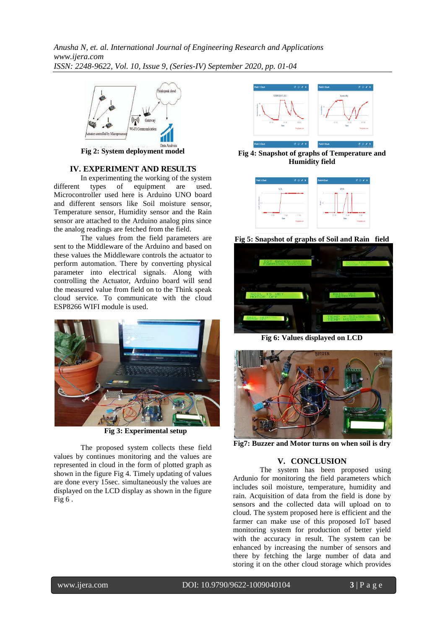*Anusha N, et. al. International Journal of Engineering Research and Applications www.ijera.com ISSN: 2248-9622, Vol. 10, Issue 9, (Series-IV) September 2020, pp. 01-04*



**Fig 2: System deployment model**

# **IV. EXPERIMENT AND RESULTS**

In experimenting the working of the system different types of equipment are used. Microcontroller used here is Arduino UNO board and different sensors like Soil moisture sensor, Temperature sensor, Humidity sensor and the Rain sensor are attached to the Arduino analog pins since the analog readings are fetched from the field.

The values from the field parameters are sent to the Middleware of the Arduino and based on these values the Middleware controls the actuator to perform automation. There by converting physical parameter into electrical signals. Along with controlling the Actuator, Arduino board will send the measured value from field on to the Think speak cloud service. To communicate with the cloud ESP8266 WIFI module is used.



 **Fig 3: Experimental setup**

The proposed system collects these field values by continues monitoring and the values are represented in cloud in the form of plotted graph as shown in the figure Fig 4. Timely updating of values are done every 15sec. simultaneously the values are displayed on the LCD display as shown in the figure Fig  $6$ .



**Fig 4: Snapshot of graphs of Temperature and Humidity field**



**Fig 5: Snapshot of graphs of Soil and Rain field**



**Fig 6: Values displayed on LCD**



**Fig7: Buzzer and Motor turns on when soil is dry**

# **V. CONCLUSION**

The system has been proposed using Ardunio for monitoring the field parameters which includes soil moisture, temperature, humidity and rain. Acquisition of data from the field is done by sensors and the collected data will upload on to cloud. The system proposed here is efficient and the farmer can make use of this proposed IoT based monitoring system for production of better yield with the accuracy in result. The system can be enhanced by increasing the number of sensors and there by fetching the large number of data and storing it on the other cloud storage which provides